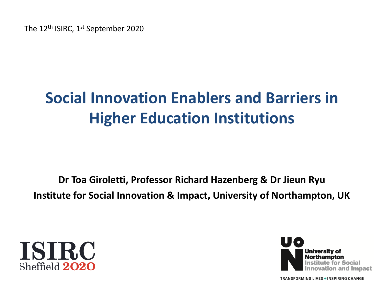The 12<sup>th</sup> ISIRC, 1<sup>st</sup> September 2020

# **Social Innovation Enablers and Barriers in Higher Education Institutions**

**Dr Toa Giroletti, Professor Richard Hazenberg & Dr Jieun Ryu Institute for Social Innovation & Impact, University of Northampton, UK**



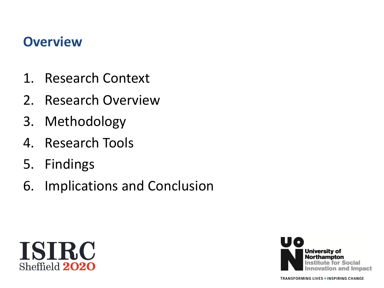#### **Overview**

- 1. Research Context
- 2. Research Overview
- 3. Methodology
- 4. Research Tools
- 5. Findings
- 6. Implications and Conclusion



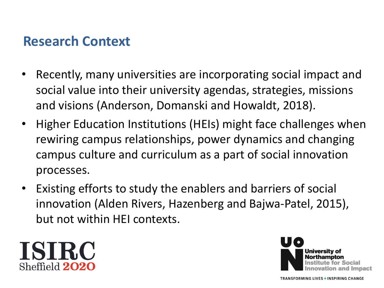#### **Research Context**

- Recently, many universities are incorporating social impact and social value into their university agendas, strategies, missions and visions (Anderson, Domanski and Howaldt, 2018).
- Higher Education Institutions (HEIs) might face challenges when rewiring campus relationships, power dynamics and changing campus culture and curriculum as a part of social innovation processes.
- Existing efforts to study the enablers and barriers of social innovation (Alden Rivers, Hazenberg and Bajwa-Patel, 2015), but not within HEI contexts.



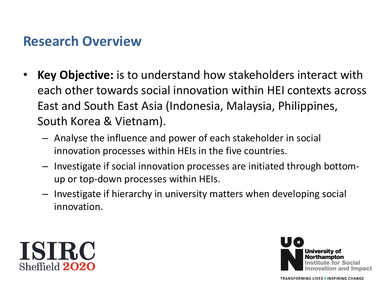#### **Research Overview**

- **Key Objective:** is to understand how stakeholders interact with each other towards social innovation within HEI contexts across East and South East Asia (Indonesia, Malaysia, Philippines, South Korea & Vietnam).
	- Analyse the influence and power of each stakeholder in social innovation processes within HEIs in the five countries.
	- Investigate if social innovation processes are initiated through bottomup or top-down processes within HEIs.
	- Investigate if hierarchy in university matters when developing social innovation.



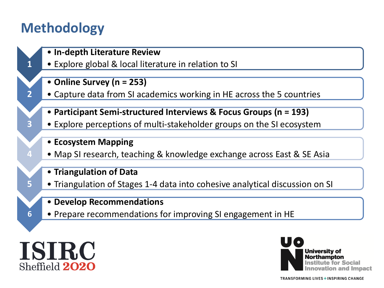#### **Methodology**

**1**

**2**

**3**

**4**

**5**

**6**

- **In-depth Literature Review**
- Explore global & local literature in relation to SI
- **Online Survey (n = 253)**
- Capture data from SI academics working in HE across the 5 countries
- **Participant Semi-structured Interviews & Focus Groups (n = 193)**
- Explore perceptions of multi-stakeholder groups on the SI ecosystem
- **Ecosystem Mapping**
- Map SI research, teaching & knowledge exchange across East & SE Asia
- **Triangulation of Data**
- Triangulation of Stages 1-4 data into cohesive analytical discussion on SI
- **Develop Recommendations**
- Prepare recommendations for improving SI engagement in HE



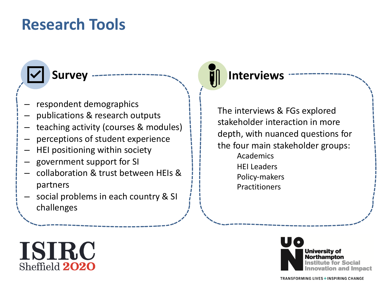# **Research Tools**



#### – respondent demographics

- publications & research outputs
- teaching activity (courses & modules)
- perceptions of student experience
- HEI positioning within society
- government support for SI
- collaboration & trust between HEIs & partners
- social problems in each country & SI challenges

#### **Survey** -------------------<sub>--</sub> **I** Interviews

The interviews & FGs explored stakeholder interaction in more depth, with nuanced questions for the four main stakeholder groups: Academics HEI Leaders Policy-makers Practitioners



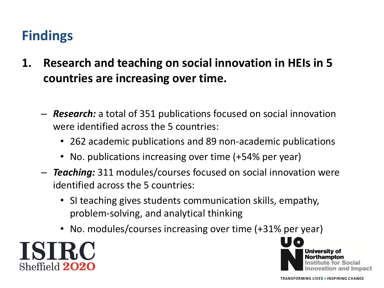- **1. Research and teaching on social innovation in HEIs in 5 countries are increasing over time.** 
	- *Research:* a total of 351 publications focused on social innovation were identified across the 5 countries:
		- 262 academic publications and 89 non-academic publications
		- No. publications increasing over time (+54% per year)
	- *Teaching:* 311 modules/courses focused on social innovation were identified across the 5 countries:
		- SI teaching gives students communication skills, empathy, problem-solving, and analytical thinking
		- No. modules/courses increasing over time (+31% per year)



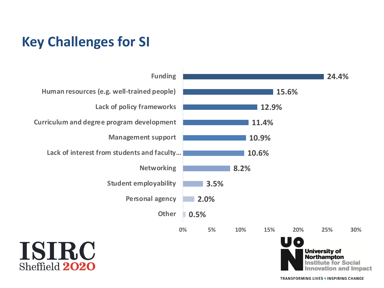## **Key Challenges for SI**

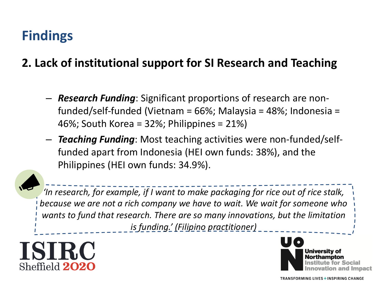**2. Lack of institutional support for SI Research and Teaching**

- *Research Funding*: Significant proportions of research are nonfunded/self-funded (Vietnam = 66%; Malaysia = 48%; Indonesia = 46%; South Korea = 32%; Philippines = 21%)
- *Teaching Funding*: Most teaching activities were non-funded/selffunded apart from Indonesia (HEI own funds: 38%), and the Philippines (HEI own funds: 34.9%).



*'In research, for example, if I want to make packaging for rice out of rice stalk, because we are not a rich company we have to wait. We wait for someone who wants to fund that research. There are so many innovations, but the limitation is funding.' (Filipino practitioner)* 



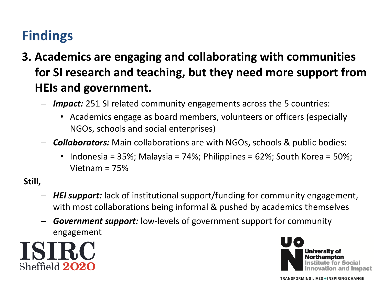- **3. Academics are engaging and collaborating with communities for SI research and teaching, but they need more support from HEIs and government.** 
	- *Impact:* 251 SI related community engagements across the 5 countries:
		- Academics engage as board members, volunteers or officers (especially NGOs, schools and social enterprises)
	- *Collaborators:* Main collaborations are with NGOs, schools & public bodies:
		- Indonesia = 35%; Malaysia = 74%; Philippines =  $62\%$ ; South Korea =  $50\%$ ; Vietnam = 75%

**Still,**

- *HEI support:* lack of institutional support/funding for community engagement, with most collaborations being informal & pushed by academics themselves
- *Government support:* low-levels of government support for community engagement



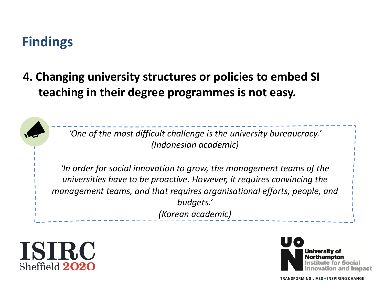#### **4. Changing university structures or policies to embed SI teaching in their degree programmes is not easy.**

*'One of the most difficult challenge is the university bureaucracy.' (Indonesian academic)*

*'In order for social innovation to grow, the management teams of the universities have to be proactive. However, it requires convincing the management teams, and that requires organisational efforts, people, and budgets.' (Korean academic)*



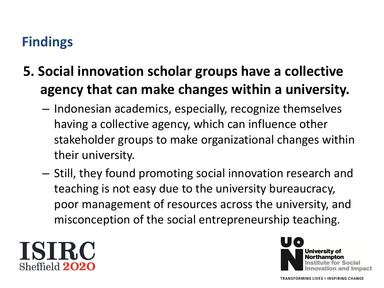# **5. Social innovation scholar groups have a collective agency that can make changes within a university.**

- Indonesian academics, especially, recognize themselves having a collective agency, which can influence other stakeholder groups to make organizational changes within their university.
- Still, they found promoting social innovation research and teaching is not easy due to the university bureaucracy, poor management of resources across the university, and misconception of the social entrepreneurship teaching.



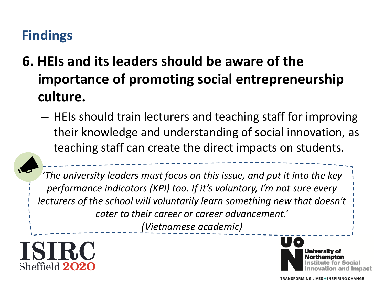- **6. HEIs and its leaders should be aware of the importance of promoting social entrepreneurship culture.** 
	- HEIs should train lecturers and teaching staff for improving their knowledge and understanding of social innovation, as teaching staff can create the direct impacts on students.

*'The university leaders must focus on this issue, and put it into the key performance indicators (KPI) too. If it's voluntary, I'm not sure every lecturers of the school will voluntarily learn something new that doesn't cater to their career or career advancement.' (Vietnamese academic)*



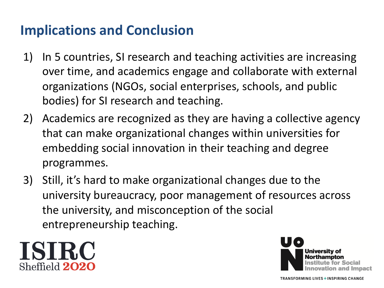## **Implications and Conclusion**

- 1) In 5 countries, SI research and teaching activities are increasing over time, and academics engage and collaborate with external organizations (NGOs, social enterprises, schools, and public bodies) for SI research and teaching.
- 2) Academics are recognized as they are having a collective agency that can make organizational changes within universities for embedding social innovation in their teaching and degree programmes.
- 3) Still, it's hard to make organizational changes due to the university bureaucracy, poor management of resources across the university, and misconception of the social entrepreneurship teaching.



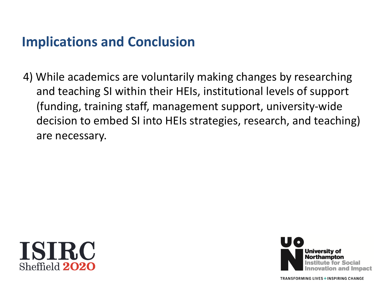#### **Implications and Conclusion**

4) While academics are voluntarily making changes by researching and teaching SI within their HEIs, institutional levels of support (funding, training staff, management support, university-wide decision to embed SI into HEIs strategies, research, and teaching) are necessary.